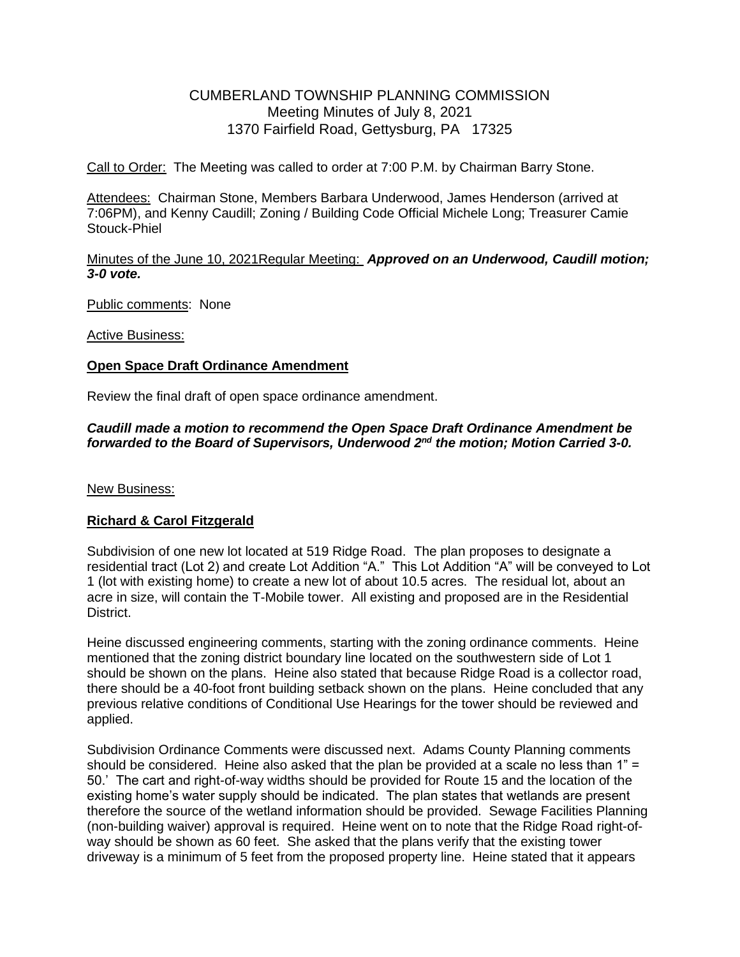# CUMBERLAND TOWNSHIP PLANNING COMMISSION Meeting Minutes of July 8, 2021 1370 Fairfield Road, Gettysburg, PA 17325

Call to Order: The Meeting was called to order at 7:00 P.M. by Chairman Barry Stone.

Attendees: Chairman Stone, Members Barbara Underwood, James Henderson (arrived at 7:06PM), and Kenny Caudill; Zoning / Building Code Official Michele Long; Treasurer Camie Stouck-Phiel

### Minutes of the June 10, 2021Regular Meeting: *Approved on an Underwood, Caudill motion; 3-0 vote.*

Public comments: None

Active Business:

### **Open Space Draft Ordinance Amendment**

Review the final draft of open space ordinance amendment.

### *Caudill made a motion to recommend the Open Space Draft Ordinance Amendment be*  forwarded to the Board of Supervisors, Underwood 2<sup>nd</sup> the motion; Motion Carried 3-0.

New Business:

## **Richard & Carol Fitzgerald**

Subdivision of one new lot located at 519 Ridge Road. The plan proposes to designate a residential tract (Lot 2) and create Lot Addition "A." This Lot Addition "A" will be conveyed to Lot 1 (lot with existing home) to create a new lot of about 10.5 acres. The residual lot, about an acre in size, will contain the T-Mobile tower. All existing and proposed are in the Residential District.

Heine discussed engineering comments, starting with the zoning ordinance comments. Heine mentioned that the zoning district boundary line located on the southwestern side of Lot 1 should be shown on the plans. Heine also stated that because Ridge Road is a collector road, there should be a 40-foot front building setback shown on the plans. Heine concluded that any previous relative conditions of Conditional Use Hearings for the tower should be reviewed and applied.

Subdivision Ordinance Comments were discussed next. Adams County Planning comments should be considered. Heine also asked that the plan be provided at a scale no less than 1" = 50.' The cart and right-of-way widths should be provided for Route 15 and the location of the existing home's water supply should be indicated. The plan states that wetlands are present therefore the source of the wetland information should be provided. Sewage Facilities Planning (non-building waiver) approval is required. Heine went on to note that the Ridge Road right-ofway should be shown as 60 feet. She asked that the plans verify that the existing tower driveway is a minimum of 5 feet from the proposed property line. Heine stated that it appears